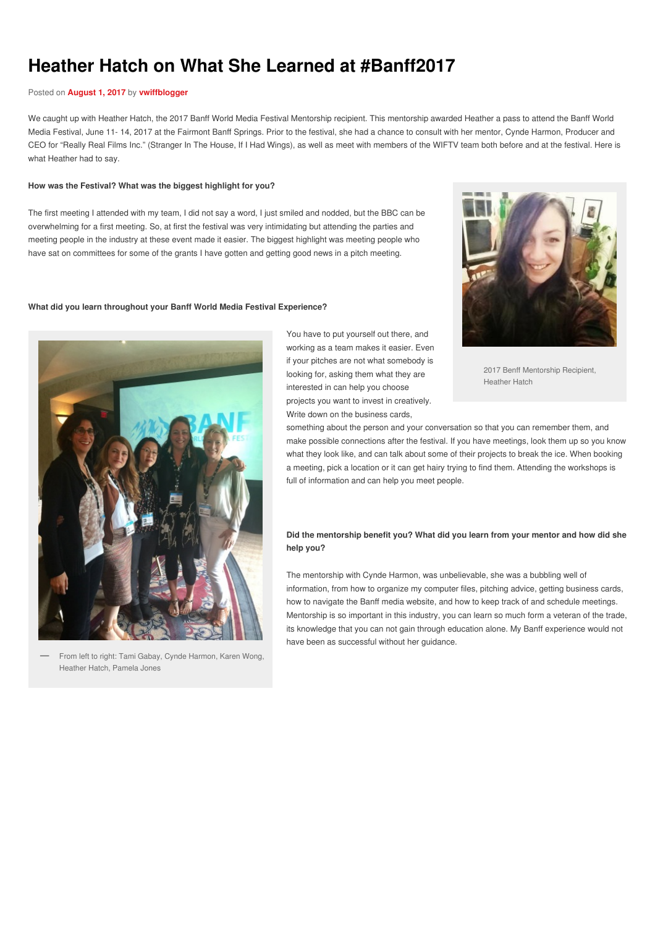# **Heather Hatch on What She Learned at #Banff2017**

### Posted on **[August](https://wiftv.wordpress.com/2017/08/01/heather-hatch-on-what-she-learned-at-banff2017/) 1, 2017** by **[vwiffblogger](https://wiftv.wordpress.com/author/vwiffblogger/)**

We caught up with Heather Hatch, the 2017 Banff World Media Festival Mentorship recipient. This mentorship awarded Heather a pass to attend the Banff World Media Festival, June 11- 14, 2017 at the Fairmont Banff Springs. Prior to the festival, she had a chance to consult with her mentor, Cynde Harmon, Producer and CEO for "Really Real Films Inc." (Stranger In The House, If I Had Wings), as well as meet with members of the WIFTV team both before and at the festival. Here is what Heather had to say.

#### **How was the Festival? What was the biggest highlight for you?**

The first meeting I attended with my team, I did not say a word, I just smiled and nodded, but the BBC can be overwhelming for a first meeting. So, at first the festival was very intimidating but attending the parties and meeting people in the industry at these event made it easier. The biggest highlight was meeting people who have sat on committees for some of the grants I have gotten and getting good news in a pitch meeting.

#### **What did you learn throughout your Banff World Media Festival Experience?**



From left to right: Tami Gabay, Cynde Harmon, Karen Wong, Heather Hatch, Pamela Jones

**—**

You have to put yourself out there, and working as a team makes it easier. Even if your pitches are not what somebody is looking for, asking them what they are interested in can help you choose projects you want to invest in creatively. Write down on the business cards,



2017 Benff Mentorship Recipient, Heather Hatch

something about the person and your conversation so that you can remember them, and make possible connections after the festival. If you have meetings, look them up so you know what they look like, and can talk about some of their projects to break the ice. When booking a meeting, pick a location or it can get hairy trying to find them. Attending the workshops is full of information and can help you meet people.

## **Did the mentorship benefit you? What did you learn from your mentor and how did she help you?**

The mentorship with Cynde Harmon, was unbelievable, she was a bubbling well of information, from how to organize my computer files, pitching advice, getting business cards, how to navigate the Banff media website, and how to keep track of and schedule meetings. Mentorship is so important in this industry, you can learn so much form a veteran of the trade, its knowledge that you can not gain through education alone. My Banff experience would not have been as successful without her guidance.